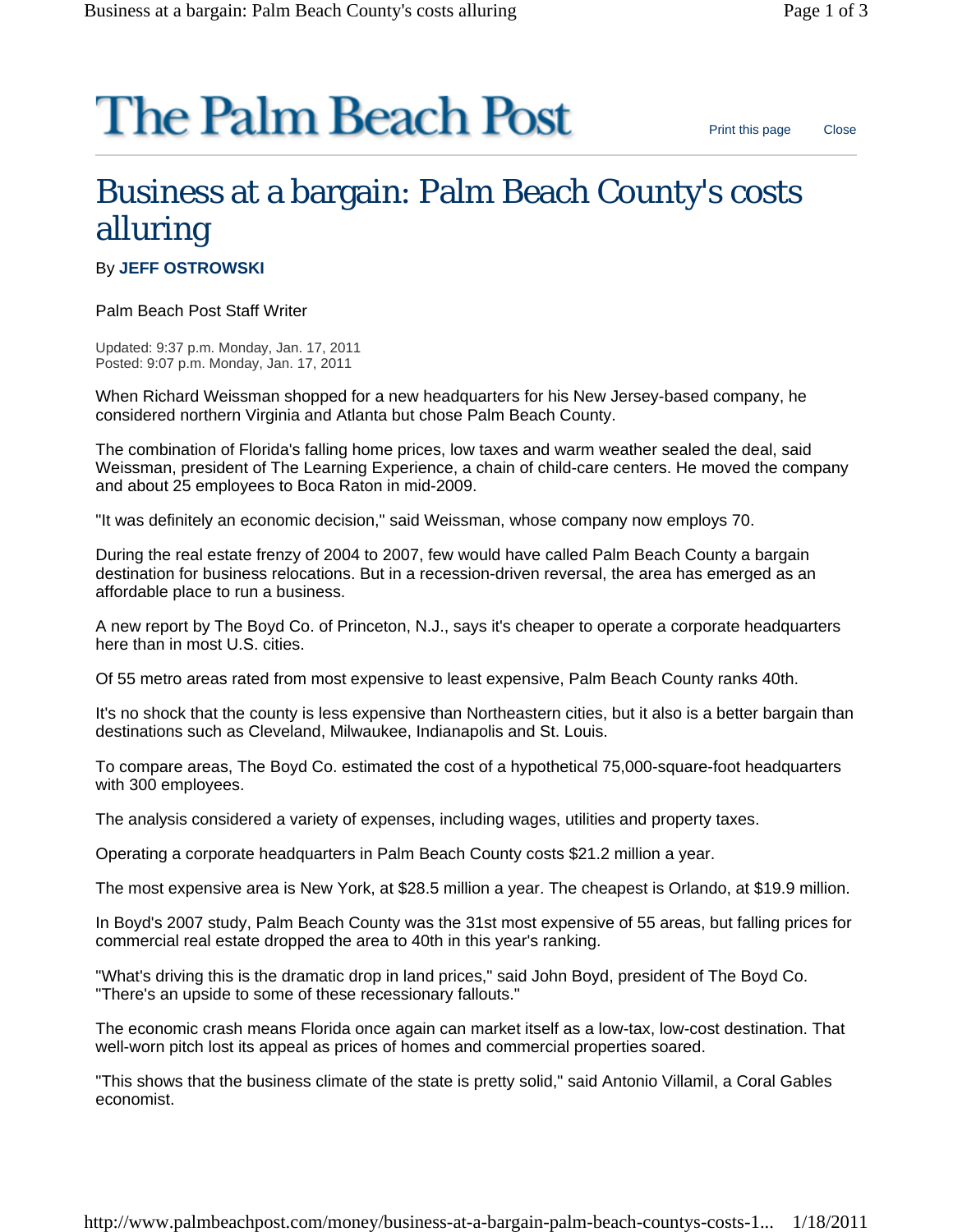## **The Palm Beach Post**

## Business at a bargain: Palm Beach County's costs alluring

By **JEFF OSTROWSKI**

Palm Beach Post Staff Writer

Updated: 9:37 p.m. Monday, Jan. 17, 2011 Posted: 9:07 p.m. Monday, Jan. 17, 2011

When Richard Weissman shopped for a new headquarters for his New Jersey-based company, he considered northern Virginia and Atlanta but chose Palm Beach County.

The combination of Florida's falling home prices, low taxes and warm weather sealed the deal, said Weissman, president of The Learning Experience, a chain of child-care centers. He moved the company and about 25 employees to Boca Raton in mid-2009.

"It was definitely an economic decision," said Weissman, whose company now employs 70.

During the real estate frenzy of 2004 to 2007, few would have called Palm Beach County a bargain destination for business relocations. But in a recession-driven reversal, the area has emerged as an affordable place to run a business.

A new report by The Boyd Co. of Princeton, N.J., says it's cheaper to operate a corporate headquarters here than in most U.S. cities.

Of 55 metro areas rated from most expensive to least expensive, Palm Beach County ranks 40th.

It's no shock that the county is less expensive than Northeastern cities, but it also is a better bargain than destinations such as Cleveland, Milwaukee, Indianapolis and St. Louis.

To compare areas, The Boyd Co. estimated the cost of a hypothetical 75,000-square-foot headquarters with 300 employees.

The analysis considered a variety of expenses, including wages, utilities and property taxes.

Operating a corporate headquarters in Palm Beach County costs \$21.2 million a year.

The most expensive area is New York, at \$28.5 million a year. The cheapest is Orlando, at \$19.9 million.

In Boyd's 2007 study, Palm Beach County was the 31st most expensive of 55 areas, but falling prices for commercial real estate dropped the area to 40th in this year's ranking.

"What's driving this is the dramatic drop in land prices," said John Boyd, president of The Boyd Co. "There's an upside to some of these recessionary fallouts."

The economic crash means Florida once again can market itself as a low-tax, low-cost destination. That well-worn pitch lost its appeal as prices of homes and commercial properties soared.

"This shows that the business climate of the state is pretty solid," said Antonio Villamil, a Coral Gables economist.